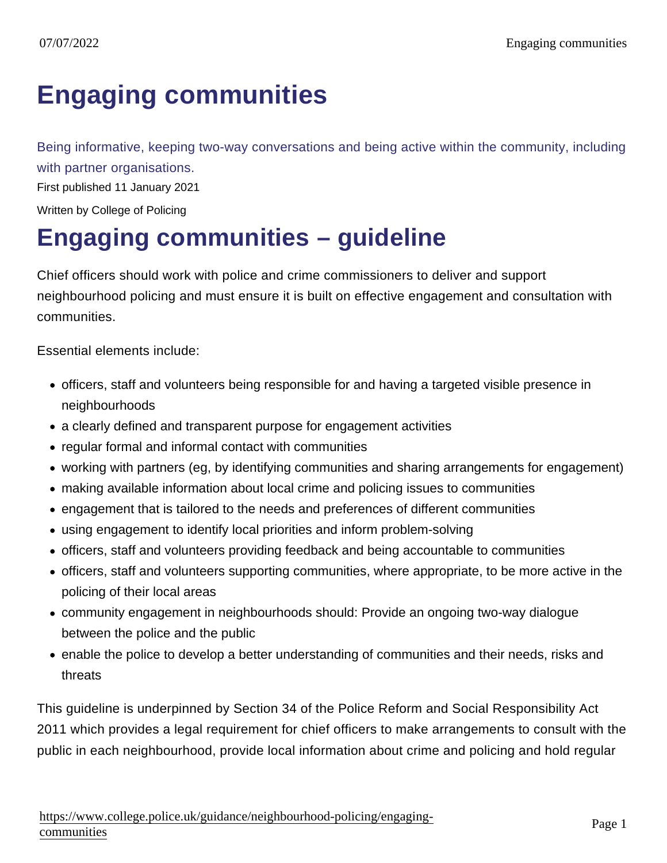## [Engaging communities](https://www.college.police.uk/guidance/neighbourhood-policing/engaging-communities)

Being informative, keeping two-way conversations and being active within the community, including with partner organisations.

First published 11 January 2021

Written by College of Policing

## Engaging communities – guideline

Chief officers should work with police and crime commissioners to deliver and support neighbourhood policing and must ensure it is built on effective engagement and consultation with communities.

Essential elements include:

- officers, staff and volunteers being responsible for and having a targeted visible presence in neighbourhoods
- a clearly defined and transparent purpose for engagement activities
- regular formal and informal contact with communities
- working with partners (eg, by identifying communities and sharing arrangements for engagement)
- making available information about local crime and policing issues to communities
- engagement that is tailored to the needs and preferences of different communities
- using engagement to identify local priorities and inform problem-solving
- officers, staff and volunteers providing feedback and being accountable to communities
- officers, staff and volunteers supporting communities, where appropriate, to be more active in the policing of their local areas
- community engagement in neighbourhoods should: Provide an ongoing two-way dialogue between the police and the public
- enable the police to develop a better understanding of communities and their needs, risks and threats

This guideline is underpinned by Section 34 of the Police Reform and Social Responsibility Act 2011 which provides a legal requirement for chief officers to make arrangements to consult with the public in each neighbourhood, provide local information about crime and policing and hold regular